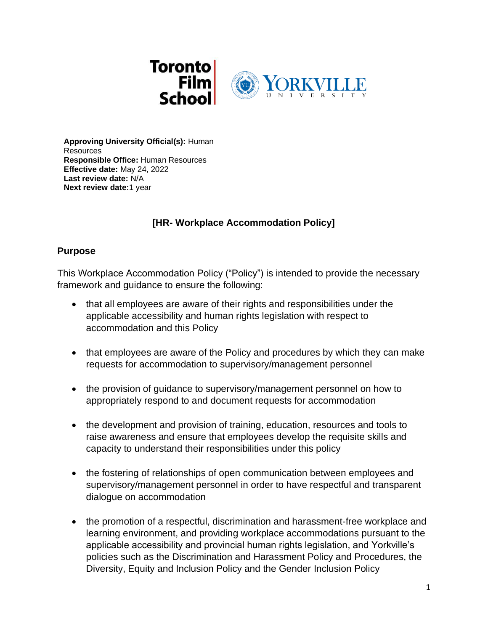

**Approving University Official(s):** Human Resources **Responsible Office:** Human Resources **Effective date:** May 24, 2022 **Last review date:** N/A **Next review date:**1 year

# **[HR- Workplace Accommodation Policy]**

#### **Purpose**

This Workplace Accommodation Policy ("Policy") is intended to provide the necessary framework and guidance to ensure the following:

- that all employees are aware of their rights and responsibilities under the applicable accessibility and human rights legislation with respect to accommodation and this Policy
- that employees are aware of the Policy and procedures by which they can make requests for accommodation to supervisory/management personnel
- the provision of quidance to supervisory/management personnel on how to appropriately respond to and document requests for accommodation
- the development and provision of training, education, resources and tools to raise awareness and ensure that employees develop the requisite skills and capacity to understand their responsibilities under this policy
- the fostering of relationships of open communication between employees and supervisory/management personnel in order to have respectful and transparent dialogue on accommodation
- the promotion of a respectful, discrimination and harassment-free workplace and learning environment, and providing workplace accommodations pursuant to the applicable accessibility and provincial human rights legislation, and Yorkville's policies such as the Discrimination and Harassment Policy and Procedures, the Diversity, Equity and Inclusion Policy and the Gender Inclusion Policy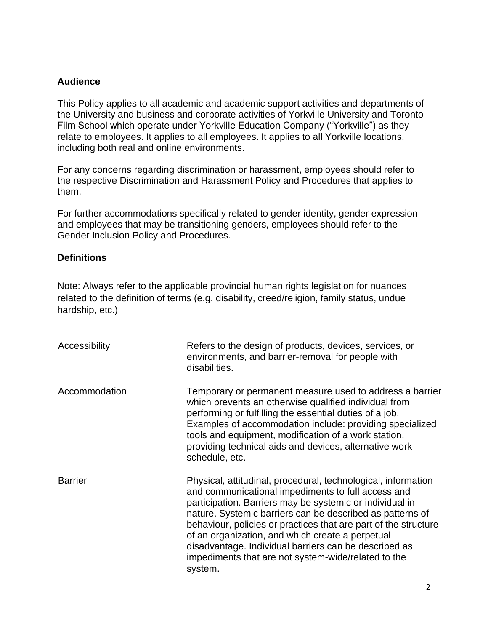#### **Audience**

This Policy applies to all academic and academic support activities and departments of the University and business and corporate activities of Yorkville University and Toronto Film School which operate under Yorkville Education Company ("Yorkville") as they relate to employees. It applies to all employees. It applies to all Yorkville locations, including both real and online environments.

For any concerns regarding discrimination or harassment, employees should refer to the respective Discrimination and Harassment Policy and Procedures that applies to them.

For further accommodations specifically related to gender identity, gender expression and employees that may be transitioning genders, employees should refer to the Gender Inclusion Policy and Procedures.

#### **Definitions**

Note: Always refer to the applicable provincial human rights legislation for nuances related to the definition of terms (e.g. disability, creed/religion, family status, undue hardship, etc.)

| Accessibility  | Refers to the design of products, devices, services, or<br>environments, and barrier-removal for people with<br>disabilities.                                                                                                                                                                                                                                                                                                                                                                  |
|----------------|------------------------------------------------------------------------------------------------------------------------------------------------------------------------------------------------------------------------------------------------------------------------------------------------------------------------------------------------------------------------------------------------------------------------------------------------------------------------------------------------|
| Accommodation  | Temporary or permanent measure used to address a barrier<br>which prevents an otherwise qualified individual from<br>performing or fulfilling the essential duties of a job.<br>Examples of accommodation include: providing specialized<br>tools and equipment, modification of a work station,<br>providing technical aids and devices, alternative work<br>schedule, etc.                                                                                                                   |
| <b>Barrier</b> | Physical, attitudinal, procedural, technological, information<br>and communicational impediments to full access and<br>participation. Barriers may be systemic or individual in<br>nature. Systemic barriers can be described as patterns of<br>behaviour, policies or practices that are part of the structure<br>of an organization, and which create a perpetual<br>disadvantage. Individual barriers can be described as<br>impediments that are not system-wide/related to the<br>system. |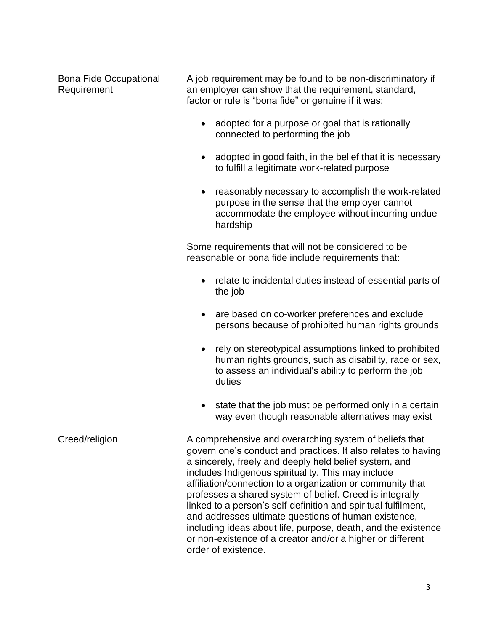Bona Fide Occupational Requirement

A job requirement may be found to be non-discriminatory if an employer can show that the requirement, standard, factor or rule is "bona fide" or genuine if it was:

- adopted for a purpose or goal that is rationally connected to performing the job
- adopted in good faith, in the belief that it is necessary to fulfill a legitimate work-related purpose
- reasonably necessary to accomplish the work-related purpose in the sense that the employer cannot accommodate the employee without incurring undue hardship

Some requirements that will not be considered to be reasonable or bona fide include requirements that:

- relate to incidental duties instead of essential parts of the job
- are based on co-worker preferences and exclude persons because of prohibited human rights grounds
- rely on stereotypical assumptions linked to prohibited human rights grounds, such as disability, race or sex, to assess an individual's ability to perform the job duties
- state that the job must be performed only in a certain way even though reasonable alternatives may exist

Creed/religion **A** comprehensive and overarching system of beliefs that govern one's conduct and practices. It also relates to having a sincerely, freely and deeply held belief system, and includes Indigenous spirituality. This may include affiliation/connection to a organization or community that professes a shared system of belief. Creed is integrally linked to a person's self-definition and spiritual fulfilment, and addresses ultimate questions of human existence, including ideas about life, purpose, death, and the existence or non-existence of a creator and/or a higher or different order of existence.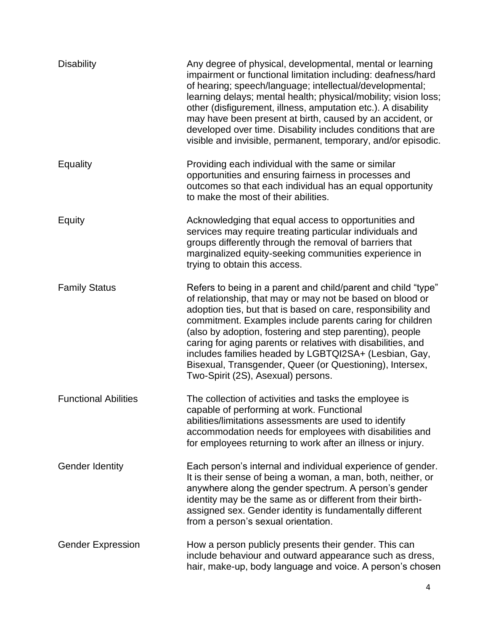| <b>Disability</b>           | Any degree of physical, developmental, mental or learning<br>impairment or functional limitation including: deafness/hard<br>of hearing; speech/language; intellectual/developmental;<br>learning delays; mental health; physical/mobility; vision loss;<br>other (disfigurement, illness, amputation etc.). A disability<br>may have been present at birth, caused by an accident, or<br>developed over time. Disability includes conditions that are<br>visible and invisible, permanent, temporary, and/or episodic.                       |
|-----------------------------|-----------------------------------------------------------------------------------------------------------------------------------------------------------------------------------------------------------------------------------------------------------------------------------------------------------------------------------------------------------------------------------------------------------------------------------------------------------------------------------------------------------------------------------------------|
| Equality                    | Providing each individual with the same or similar<br>opportunities and ensuring fairness in processes and<br>outcomes so that each individual has an equal opportunity<br>to make the most of their abilities.                                                                                                                                                                                                                                                                                                                               |
| Equity                      | Acknowledging that equal access to opportunities and<br>services may require treating particular individuals and<br>groups differently through the removal of barriers that<br>marginalized equity-seeking communities experience in<br>trying to obtain this access.                                                                                                                                                                                                                                                                         |
| <b>Family Status</b>        | Refers to being in a parent and child/parent and child "type"<br>of relationship, that may or may not be based on blood or<br>adoption ties, but that is based on care, responsibility and<br>commitment. Examples include parents caring for children<br>(also by adoption, fostering and step parenting), people<br>caring for aging parents or relatives with disabilities, and<br>includes families headed by LGBTQI2SA+ (Lesbian, Gay,<br>Bisexual, Transgender, Queer (or Questioning), Intersex,<br>Two-Spirit (2S), Asexual) persons. |
| <b>Functional Abilities</b> | The collection of activities and tasks the employee is<br>capable of performing at work. Functional<br>abilities/limitations assessments are used to identify<br>accommodation needs for employees with disabilities and<br>for employees returning to work after an illness or injury.                                                                                                                                                                                                                                                       |
| <b>Gender Identity</b>      | Each person's internal and individual experience of gender.<br>It is their sense of being a woman, a man, both, neither, or<br>anywhere along the gender spectrum. A person's gender<br>identity may be the same as or different from their birth-<br>assigned sex. Gender identity is fundamentally different<br>from a person's sexual orientation.                                                                                                                                                                                         |
| <b>Gender Expression</b>    | How a person publicly presents their gender. This can<br>include behaviour and outward appearance such as dress,<br>hair, make-up, body language and voice. A person's chosen                                                                                                                                                                                                                                                                                                                                                                 |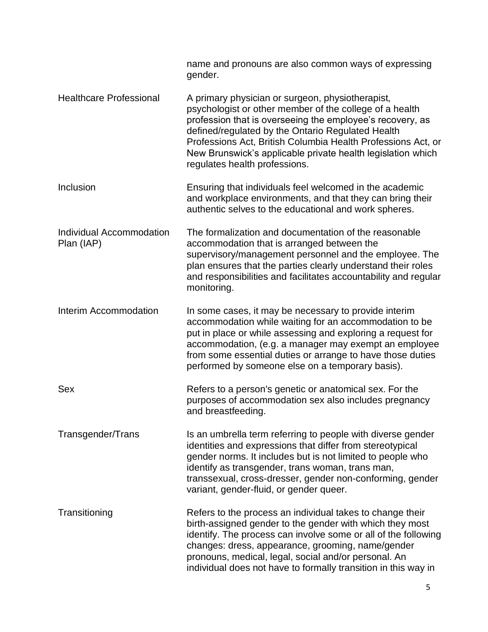|                                        | name and pronouns are also common ways of expressing<br>gender.                                                                                                                                                                                                                                                                                                                               |
|----------------------------------------|-----------------------------------------------------------------------------------------------------------------------------------------------------------------------------------------------------------------------------------------------------------------------------------------------------------------------------------------------------------------------------------------------|
| <b>Healthcare Professional</b>         | A primary physician or surgeon, physiotherapist,<br>psychologist or other member of the college of a health<br>profession that is overseeing the employee's recovery, as<br>defined/regulated by the Ontario Regulated Health<br>Professions Act, British Columbia Health Professions Act, or<br>New Brunswick's applicable private health legislation which<br>regulates health professions. |
| Inclusion                              | Ensuring that individuals feel welcomed in the academic<br>and workplace environments, and that they can bring their<br>authentic selves to the educational and work spheres.                                                                                                                                                                                                                 |
| Individual Accommodation<br>Plan (IAP) | The formalization and documentation of the reasonable<br>accommodation that is arranged between the<br>supervisory/management personnel and the employee. The<br>plan ensures that the parties clearly understand their roles<br>and responsibilities and facilitates accountability and regular<br>monitoring.                                                                               |
| <b>Interim Accommodation</b>           | In some cases, it may be necessary to provide interim<br>accommodation while waiting for an accommodation to be<br>put in place or while assessing and exploring a request for<br>accommodation, (e.g. a manager may exempt an employee<br>from some essential duties or arrange to have those duties<br>performed by someone else on a temporary basis).                                     |
| Sex                                    | Refers to a person's genetic or anatomical sex. For the<br>purposes of accommodation sex also includes pregnancy<br>and breastfeeding.                                                                                                                                                                                                                                                        |
| Transgender/Trans                      | Is an umbrella term referring to people with diverse gender<br>identities and expressions that differ from stereotypical<br>gender norms. It includes but is not limited to people who<br>identify as transgender, trans woman, trans man,<br>transsexual, cross-dresser, gender non-conforming, gender<br>variant, gender-fluid, or gender queer.                                            |
| Transitioning                          | Refers to the process an individual takes to change their<br>birth-assigned gender to the gender with which they most<br>identify. The process can involve some or all of the following<br>changes: dress, appearance, grooming, name/gender<br>pronouns, medical, legal, social and/or personal. An<br>individual does not have to formally transition in this way in                        |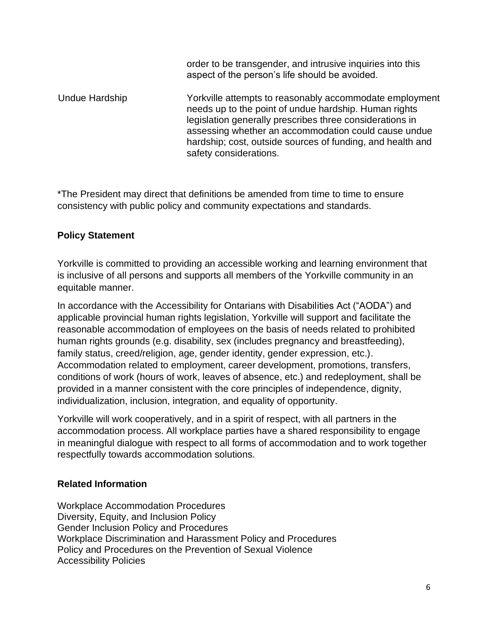order to be transgender, and intrusive inquiries into this aspect of the person's life should be avoided.

Undue Hardship Yorkville attempts to reasonably accommodate employment needs up to the point of undue hardship. Human rights legislation generally prescribes three considerations in assessing whether an accommodation could cause undue hardship; cost, outside sources of funding, and health and safety considerations.

\*The President may direct that definitions be amended from time to time to ensure consistency with public policy and community expectations and standards.

### **Policy Statement**

Yorkville is committed to providing an accessible working and learning environment that is inclusive of all persons and supports all members of the Yorkville community in an equitable manner.

In accordance with the Accessibility for Ontarians with Disabilities Act ("AODA") and applicable provincial human rights legislation, Yorkville will support and facilitate the reasonable accommodation of employees on the basis of needs related to prohibited human rights grounds (e.g. disability, sex (includes pregnancy and breastfeeding), family status, creed/religion, age, gender identity, gender expression, etc.). Accommodation related to employment, career development, promotions, transfers, conditions of work (hours of work, leaves of absence, etc.) and redeployment, shall be provided in a manner consistent with the core principles of independence, dignity, individualization, inclusion, integration, and equality of opportunity.

Yorkville will work cooperatively, and in a spirit of respect, with all partners in the accommodation process. All workplace parties have a shared responsibility to engage in meaningful dialogue with respect to all forms of accommodation and to work together respectfully towards accommodation solutions.

### **Related Information**

Workplace Accommodation Procedures Diversity, Equity, and Inclusion Policy Gender Inclusion Policy and Procedures Workplace Discrimination and Harassment Policy and Procedures Policy and Procedures on the Prevention of Sexual Violence Accessibility Policies